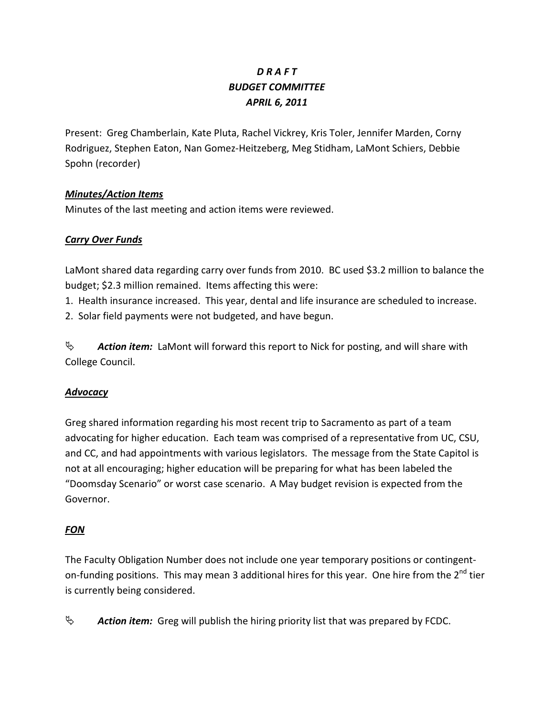# *D R A F T BUDGET COMMITTEE APRIL 6, 2011*

Present: Greg Chamberlain, Kate Pluta, Rachel Vickrey, Kris Toler, Jennifer Marden, Corny Rodriguez, Stephen Eaton, Nan Gomez-Heitzeberg, Meg Stidham, LaMont Schiers, Debbie Spohn (recorder)

# *Minutes/Action Items*

Minutes of the last meeting and action items were reviewed.

# *Carry Over Funds*

LaMont shared data regarding carry over funds from 2010. BC used \$3.2 million to balance the budget; \$2.3 million remained. Items affecting this were:

1. Health insurance increased. This year, dental and life insurance are scheduled to increase.

2. Solar field payments were not budgeted, and have begun.

**45** Action item: LaMont will forward this report to Nick for posting, and will share with College Council.

### *Advocacy*

Greg shared information regarding his most recent trip to Sacramento as part of a team advocating for higher education. Each team was comprised of a representative from UC, CSU, and CC, and had appointments with various legislators. The message from the State Capitol is not at all encouraging; higher education will be preparing for what has been labeled the "Doomsday Scenario" or worst case scenario. A May budget revision is expected from the Governor.

# *FON*

The Faculty Obligation Number does not include one year temporary positions or contingenton-funding positions. This may mean 3 additional hires for this year. One hire from the 2<sup>nd</sup> tier is currently being considered.

 $\psi$  **Action item:** Greg will publish the hiring priority list that was prepared by FCDC.